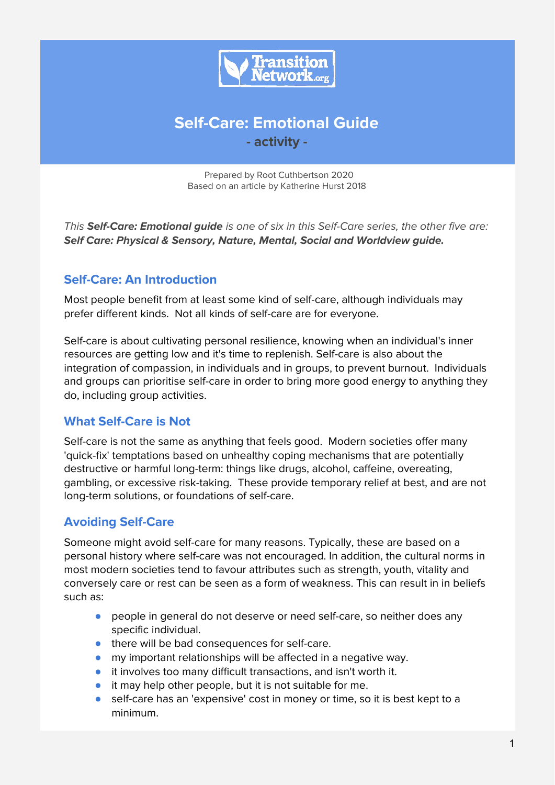

# **Self-Care: Emotional Guide - activity -**

Prepared by Root Cuthbertson 2020 Based on an article by Katherine Hurst 2018

This **Self-Care: Emotional guide** is one of six in this Self-Care series, the other five are: **Self Care: Physical & Sensory, Nature, Mental, Social and Worldview guide.**

## **Self-Care: An Introduction**

Most people benefit from at least some kind of self-care, although individuals may prefer different kinds. Not all kinds of self-care are for everyone.

Self-care is about cultivating personal resilience, knowing when an individual's inner resources are getting low and it's time to replenish. Self-care is also about the integration of compassion, in individuals and in groups, to prevent burnout. Individuals and groups can prioritise self-care in order to bring more good energy to anything they do, including group activities.

### **What Self-Care is Not**

Self-care is not the same as anything that feels good. Modern societies offer many 'quick-fix' temptations based on unhealthy coping mechanisms that are potentially destructive or harmful long-term: things like drugs, alcohol, caffeine, overeating, gambling, or excessive risk-taking. These provide temporary relief at best, and are not long-term solutions, or foundations of self-care.

# **Avoiding Self-Care**

Someone might avoid self-care for many reasons. Typically, these are based on a personal history where self-care was not encouraged. In addition, the cultural norms in most modern societies tend to favour attributes such as strength, youth, vitality and conversely care or rest can be seen as a form of weakness. This can result in in beliefs such as:

- people in general do not deserve or need self-care, so neither does any specific individual.
- there will be bad consequences for self-care.
- my important relationships will be affected in a negative way.
- it involves too many difficult transactions, and isn't worth it.
- it may help other people, but it is not suitable for me.
- self-care has an 'expensive' cost in money or time, so it is best kept to a minimum.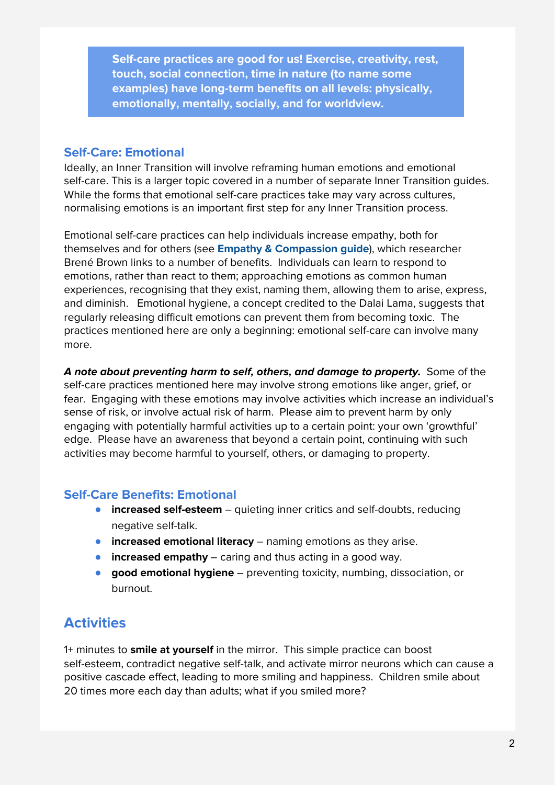**Self-care practices are good for us! Exercise, creativity, rest, touch, social connection, time in nature (to name some examples) have long-term benefits on all levels: physically, emotionally, mentally, socially, and for worldview.**

#### **Self-Care: Emotional**

Ideally, an Inner Transition will involve reframing human emotions and emotional self-care. This is a larger topic covered in a number of separate Inner Transition guides. While the forms that emotional self-care practices take may vary across cultures, normalising emotions is an important first step for any Inner Transition process.

Emotional self-care practices can help individuals increase empathy, both for themselves and for others (see **Empathy & Compassion guide**), which researcher Brené Brown links to a number of benefits. Individuals can learn to respond to emotions, rather than react to them; approaching emotions as common human experiences, recognising that they exist, naming them, allowing them to arise, express, and diminish. Emotional hygiene, a concept credited to the Dalai Lama, suggests that regularly releasing difficult emotions can prevent them from becoming toxic. The practices mentioned here are only a beginning: emotional self-care can involve many more.

**A note about preventing harm to self, others, and damage to property.** Some of the self-care practices mentioned here may involve strong emotions like anger, grief, or fear. Engaging with these emotions may involve activities which increase an individual's sense of risk, or involve actual risk of harm. Please aim to prevent harm by only engaging with potentially harmful activities up to a certain point: your own 'growthful' edge. Please have an awareness that beyond a certain point, continuing with such activities may become harmful to yourself, others, or damaging to property.

### **Self-Care Benefits: Emotional**

- **increased self-esteem** quieting inner critics and self-doubts, reducing negative self-talk.
- **increased emotional literacy** naming emotions as they arise.
- **increased empathy** caring and thus acting in a good way.
- **good emotional hygiene** preventing toxicity, numbing, dissociation, or burnout.

# **Activities**

1+ minutes to **smile at yourself** in the mirror. This simple practice can boost self-esteem, contradict negative self-talk, and activate mirror neurons which can cause a positive cascade effect, leading to more smiling and happiness. Children smile about 20 times more each day than adults; what if you smiled more?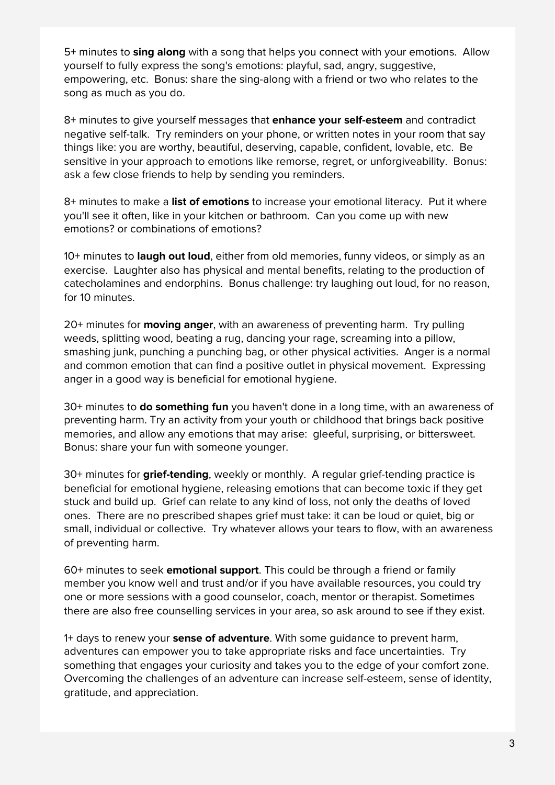5+ minutes to **sing along** with a song that helps you connect with your emotions. Allow yourself to fully express the song's emotions: playful, sad, angry, suggestive, empowering, etc. Bonus: share the sing-along with a friend or two who relates to the song as much as you do.

8+ minutes to give yourself messages that **enhance your self-esteem** and contradict negative self-talk. Try reminders on your phone, or written notes in your room that say things like: you are worthy, beautiful, deserving, capable, confident, lovable, etc. Be sensitive in your approach to emotions like remorse, regret, or unforgiveability. Bonus: ask a few close friends to help by sending you reminders.

8+ minutes to make a **list of emotions** to increase your emotional literacy. Put it where you'll see it often, like in your kitchen or bathroom. Can you come up with new emotions? or combinations of emotions?

10+ minutes to **laugh out loud**, either from old memories, funny videos, or simply as an exercise. Laughter also has physical and mental benefits, relating to the production of catecholamines and endorphins. Bonus challenge: try laughing out loud, for no reason, for 10 minutes.

20+ minutes for **moving anger**, with an awareness of preventing harm. Try pulling weeds, splitting wood, beating a rug, dancing your rage, screaming into a pillow, smashing junk, punching a punching bag, or other physical activities. Anger is a normal and common emotion that can find a positive outlet in physical movement. Expressing anger in a good way is beneficial for emotional hygiene.

30+ minutes to **do something fun** you haven't done in a long time, with an awareness of preventing harm. Try an activity from your youth or childhood that brings back positive memories, and allow any emotions that may arise: gleeful, surprising, or bittersweet. Bonus: share your fun with someone younger.

30+ minutes for **grief-tending**, weekly or monthly. A regular grief-tending practice is beneficial for emotional hygiene, releasing emotions that can become toxic if they get stuck and build up. Grief can relate to any kind of loss, not only the deaths of loved ones. There are no prescribed shapes grief must take: it can be loud or quiet, big or small, individual or collective. Try whatever allows your tears to flow, with an awareness of preventing harm.

60+ minutes to seek **emotional support**. This could be through a friend or family member you know well and trust and/or if you have available resources, you could try one or more sessions with a good counselor, coach, mentor or therapist. Sometimes there are also free counselling services in your area, so ask around to see if they exist.

1+ days to renew your **sense of adventure**. With some guidance to prevent harm, adventures can empower you to take appropriate risks and face uncertainties. Try something that engages your curiosity and takes you to the edge of your comfort zone. Overcoming the challenges of an adventure can increase self-esteem, sense of identity, gratitude, and appreciation.